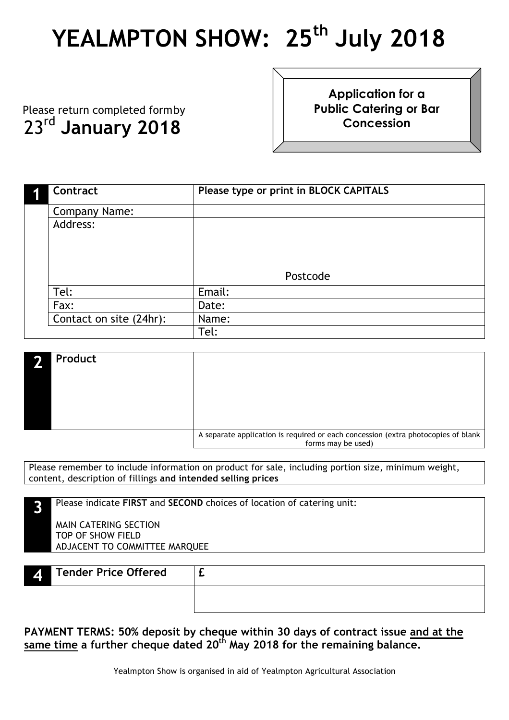## **YEALMPTON SHOW: 25th July 2018**

 Please return completed formby 23rd **January 2018**

**Application for a Public Catering or Bar Concession**

| Contract                | Please type or print in BLOCK CAPITALS |
|-------------------------|----------------------------------------|
| <b>Company Name:</b>    |                                        |
| Address:                |                                        |
|                         |                                        |
|                         |                                        |
|                         |                                        |
|                         | Postcode                               |
| Tel:                    | Email:                                 |
| Fax:                    | Date:                                  |
| Contact on site (24hr): | Name:                                  |
|                         | Tel:                                   |

| Product<br>æ |                                                                                                         |
|--------------|---------------------------------------------------------------------------------------------------------|
|              |                                                                                                         |
|              |                                                                                                         |
|              |                                                                                                         |
|              | A separate application is required or each concession (extra photocopies of blank<br>forms may be used) |

Please remember to include information on product for sale, including portion size, minimum weight, content, description of fillings **and intended selling prices**

| Please indicate FIRST and SECOND choices of location of catering unit: |  |
|------------------------------------------------------------------------|--|
| MAIN CATERING SECTION<br>TOP OF SHOW FIELD                             |  |
| ADJACENT TO COMMITTEE MARQUEE                                          |  |
|                                                                        |  |

| Tender Price Offered<br>ZГ |  |
|----------------------------|--|
|                            |  |

**PAYMENT TERMS: 50% deposit by cheque within 30 days of contract issue and at the same time a further cheque dated 20th May 2018 for the remaining balance.**